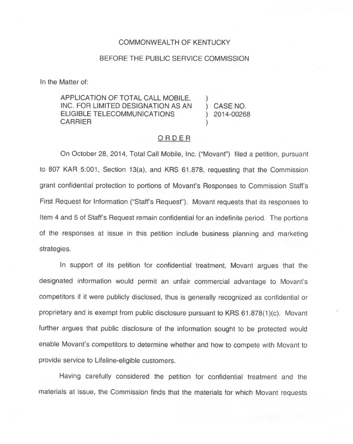## COMMONWEALTH OF KENTUCKY

## BEFORE THE PUBLIC SERVICE COMMISSION

In the Matter of:

APPLICATION OF TOTAL CALL MOBILE, INC. FOR LIMITED DESIGNATION AS AN ELIGIBLE TELECOMMUNICATIONS CARRIER

) CASE NO. ) 2014-00268

)

)

## ORDER

On October 28, 2014, Total Call Mobile, Inc. ("Movant") filed a petition, pursual to 807 KAR 5:001, Section 13(a), and KRS 61.878, requesting that the Commission grant confidential protection to portions of Movant's Responses to Commission Staff's First Request for Information ("Staff's Request" ). Movant requests that its responses to Item 4 and 5 of Staff's Request remain confidential for an indefinite period. The portions of the responses at issue in this petition include business planning and marketing strategies.

In support of its petition for confidential treatment, Movant argues that the designated information would permit an unfair commercial advantage to Movant's competitors if it were publicly disclosed, thus is generally recognized as confidential or proprietary and is exempt from public disclosure pursuant to KRS 61.878(1)(c). Movant further argues that public disclosure of the information sought to be protected would enable Movant's competitors to determine whether and how to compete with Movant to provide service to Lifeline-eligible customers.

Having carefully considered the petition for confidential treatment and the materials at issue, the Commission finds that the materials for which Movant requests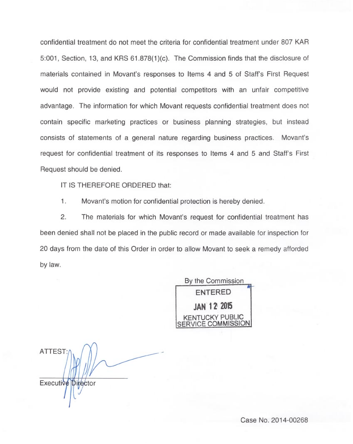confidential treatment do not meet the criteria for confidential treatment under 807 KAR 5:001, Section, 13, and KRS 61.878(1)(c). The Commission finds that the disclosure of materials contained in Movant's responses to Items 4 and 5 of Staff's First Request would not provide existing and potential competitors with an unfair competitive advantage. The information for which Movant requests confidential treatment does not contain specific marketing practices or business planning strategies, but instead consists of statements of a general nature regarding business practices. Movant's request for confidential treatment of its responses to Items 4 and 5 and Staff's First Request should be denied.

IT IS THEREFORE ORDERED that:

1. Movant's motion for confidential protection is hereby denied.

2. The materials for which Movant's request for confidential treatment has been denied shall not be placed in the public record or made available for inspection for 20 days from the date of this Order in order to allow Movant to seek a remedy afforded by law.

> By the Commission ENTERED JAN 12 2015 KENTUCKY PUBLIC **IICE COMMISSION**

ATTEST:  $\parallel$ Executive Director